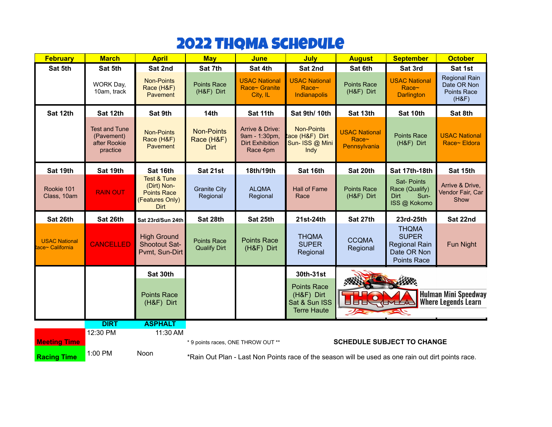## 2022 THQMA SCHEDULE

| <b>February</b>                         | <b>March</b>                                                   | <b>April</b>                                                                                  | <b>May</b>                                                                                         | <b>June</b>                                                            | <b>July</b>                                                             | <b>August</b>                                    | <b>September</b>                                                                          | <b>October</b>                                              |
|-----------------------------------------|----------------------------------------------------------------|-----------------------------------------------------------------------------------------------|----------------------------------------------------------------------------------------------------|------------------------------------------------------------------------|-------------------------------------------------------------------------|--------------------------------------------------|-------------------------------------------------------------------------------------------|-------------------------------------------------------------|
| Sat 5th                                 | Sat 5th                                                        | Sat 2nd                                                                                       | Sat 7th                                                                                            | Sat 4th                                                                | Sat 2nd                                                                 | Sat 6th                                          | Sat 3rd                                                                                   | Sat 1st                                                     |
|                                         | WORK Day,<br>10am, track                                       | <b>Non-Points</b><br>Race (H&F)<br>Pavement                                                   | <b>Points Race</b><br>(H&F) Dirt                                                                   | <b>USAC National</b><br>Race~ Granite<br>City, IL                      | <b>USAC National</b><br>Race~<br>Indianapolis                           | <b>Points Race</b><br>(H&F) Dirt                 | <b>USAC National</b><br>Race~<br><b>Darlington</b>                                        | Regional Rain<br>Date OR Non<br><b>Points Race</b><br>(H&F) |
| Sat 12th                                | Sat 12th                                                       | Sat 9th                                                                                       | 14th                                                                                               | Sat 11th                                                               | Sat 9th/10th                                                            | Sat 13th                                         | Sat 10th                                                                                  | Sat 8th                                                     |
|                                         | <b>Test and Tune</b><br>(Pavement)<br>after Rookie<br>practice | <b>Non-Points</b><br>Race (H&F)<br>Pavement                                                   | <b>Non-Points</b><br>Race (H&F)<br><b>Dirt</b>                                                     | Arrive & Drive:<br>9am - 1:30pm,<br><b>Dirt Exhibition</b><br>Race 4pm | <b>Non-Points</b><br>ace (H&F) Dirt<br>Sun- ISS @ Mini<br>Indy          | <b>USAC National</b><br>Race~<br>Pennsylvania    | <b>Points Race</b><br>(H&F) Dirt                                                          | <b>USAC National</b><br>Race~ Eldora                        |
| Sat 19th                                | Sat 19th                                                       | Sat 16th                                                                                      | Sat 21st                                                                                           | 18th/19th                                                              | Sat 16th                                                                | Sat 20th                                         | Sat 17th-18th                                                                             | Sat 15th                                                    |
| Rookie 101<br>Class, 10am               | <b>RAIN OUT</b>                                                | <b>Test &amp; Tune</b><br>(Dirt) Non-<br><b>Points Race</b><br>(Features Only)<br><b>Dirt</b> | <b>Granite City</b><br>Regional                                                                    | <b>ALQMA</b><br>Regional                                               | <b>Hall of Fame</b><br>Race                                             | <b>Points Race</b><br>(H&F) Dirt                 | <b>Sat-Points</b><br>Race (Qualify)<br>Dirt<br>Sun-<br>ISS @ Kokomo                       | Arrive & Drive,<br>Vendor Fair, Car<br>Show                 |
| Sat 26th                                | Sat 26th                                                       | Sat 23rd/Sun 24th                                                                             | Sat 28th                                                                                           | Sat 25th                                                               | 21st-24th                                                               | Sat 27th                                         | 23rd-25th                                                                                 | Sat 22nd                                                    |
| <b>USAC National</b><br>ace~ California | <b>CANCELLED</b>                                               | <b>High Ground</b><br><b>Shootout Sat-</b><br>Pvmt, Sun-Dirt                                  | <b>Points Race</b><br><b>Qualify Dirt</b>                                                          | <b>Points Race</b><br>(H&F) Dirt                                       | <b>THQMA</b><br><b>SUPER</b><br>Regional                                | <b>CCQMA</b><br>Regional                         | <b>THQMA</b><br><b>SUPER</b><br><b>Regional Rain</b><br>Date OR Non<br><b>Points Race</b> | Fun Night                                                   |
|                                         |                                                                | Sat 30th                                                                                      |                                                                                                    |                                                                        | 30th-31st                                                               |                                                  |                                                                                           |                                                             |
|                                         |                                                                | <b>Points Race</b><br>(H&F) Dirt                                                              |                                                                                                    |                                                                        | <b>Points Race</b><br>(H&F) Dirt<br>Sat & Sun ISS<br><b>Terre Haute</b> | <b>ULILL (LALLA)</b><br>$\overline{\mathscr{D}}$ | 501-                                                                                      | <b>Hulman Mini Speedway</b><br><b>Where Legends Learn</b>   |
|                                         | <b>DIRT</b>                                                    | <b>ASPHALT</b>                                                                                |                                                                                                    |                                                                        |                                                                         |                                                  |                                                                                           |                                                             |
|                                         | 12:30 PM                                                       | 11:30 AM                                                                                      |                                                                                                    |                                                                        |                                                                         |                                                  |                                                                                           |                                                             |
| <b>Meeting Time</b>                     |                                                                |                                                                                               | * 9 points races, ONE THROW OUT **                                                                 |                                                                        |                                                                         |                                                  | <b>SCHEDULE SUBJECT TO CHANGE</b>                                                         |                                                             |
| <b>Racing Time</b>                      | 1:00 PM                                                        | Noon                                                                                          | *Rain Out Plan - Last Non Points race of the season will be used as one rain out dirt points race. |                                                                        |                                                                         |                                                  |                                                                                           |                                                             |